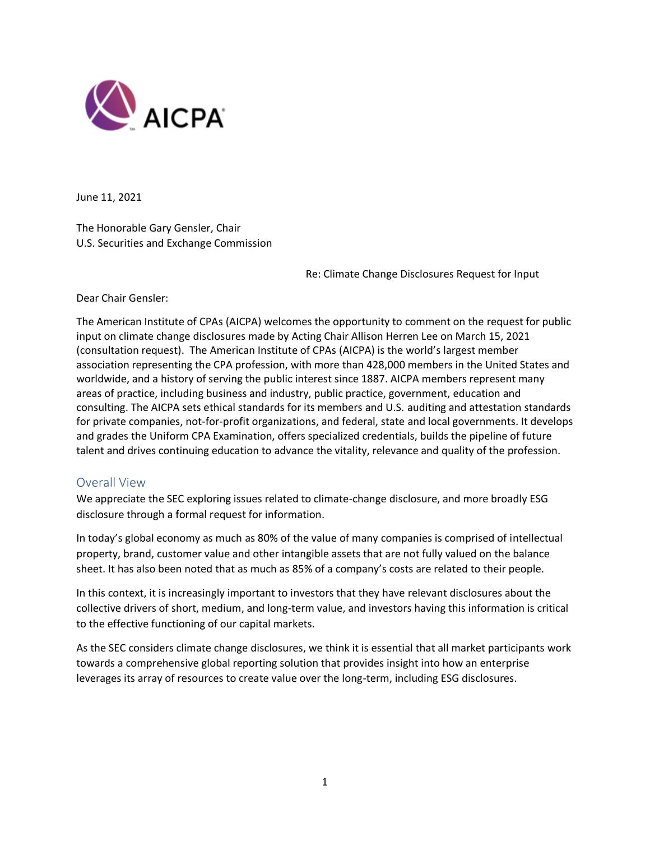

June 11, 2021

The Honorable Gary Gensler, Chair U.S. Securities and Exchange Commission

Re: Climate Change Disclosures Request for Input

Dear Chair Gensler:

The American Institute of CPAs (AICPA) welcomes the opportunity to comment on the request for public input on climate change disclosures made by Acting Chair Allison Herren Lee on March 15, 2021 (consultation request). The American Institute of CPAs (AICPA) is the world's largest member association representing the CPA profession, with more than 428,000 members in the United States and worldwide, and a history of serving the public interest since 1887. AICPA members represent many areas of practice, including business and industry, public practice, government, education and consulting. The AICPA sets ethical standards for its members and U.S. auditing and attestation standards for private companies, not-for-profit organizations, and federal, state and local governments. It develops and grades the Uniform CPA Examination, offers specialized credentials, builds the pipeline of future talent and drives continuing education to advance the vitality, relevance and quality of the profession.

### Overall View

We appreciate the SEC exploring issues related to climate-change disclosure, and more broadly ESG disclosure through a formal request for information.

In today's global economy as much as 80% of the value of many companies is comprised of intellectual property, brand, customer value and other intangible assets that are not fully valued on the balance sheet. It has also been noted that as much as 85% of a company's costs are related to their people.

In this context, it is increasingly important to investors that they have relevant disclosures about the collective drivers of short, medium, and long-term value, and investors having this information is critical to the effective functioning of our capital markets.

As the SEC considers climate change disclosures, we think it is essential that all market participants work towards a comprehensive global reporting solution that provides insight into how an enterprise leverages its array of resources to create value over the long-term, including ESG disclosures.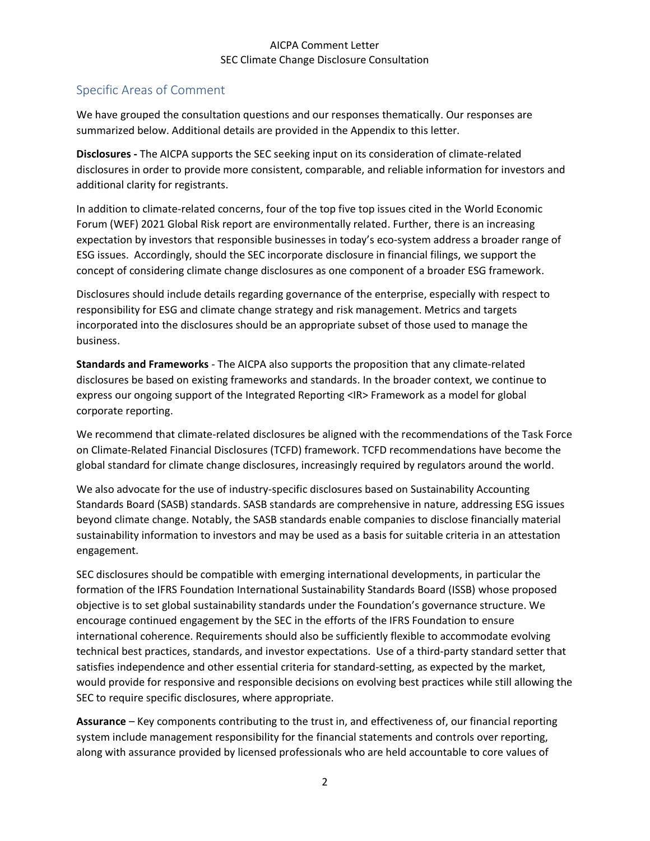### AICPA Comment Letter SEC Climate Change Disclosure Consultation

# Specific Areas of Comment

We have grouped the consultation questions and our responses thematically. Our responses are summarized below. Additional details are provided in the Appendix to this letter.

**Disclosures -** The AICPA supports the SEC seeking input on its consideration of climate-related disclosures in order to provide more consistent, comparable, and reliable information for investors and additional clarity for registrants.

In addition to climate-related concerns, four of the top five top issues cited in the World Economic Forum (WEF) 2021 Global Risk report are environmentally related. Further, there is an increasing expectation by investors that responsible businesses in today's eco-system address a broader range of ESG issues. Accordingly, should the SEC incorporate disclosure in financial filings, we support the concept of considering climate change disclosures as one component of a broader ESG framework.

Disclosures should include details regarding governance of the enterprise, especially with respect to responsibility for ESG and climate change strategy and risk management. Metrics and targets incorporated into the disclosures should be an appropriate subset of those used to manage the business.

**Standards and Frameworks** - The AICPA also supports the proposition that any climate-related disclosures be based on existing frameworks and standards. In the broader context, we continue to express our ongoing support of the Integrated Reporting <IR> Framework as a model for global corporate reporting.

We recommend that climate-related disclosures be aligned with the recommendations of the Task Force on Climate-Related Financial Disclosures (TCFD) framework. TCFD recommendations have become the global standard for climate change disclosures, increasingly required by regulators around the world.

We also advocate for the use of industry-specific disclosures based on Sustainability Accounting Standards Board (SASB) standards. SASB standards are comprehensive in nature, addressing ESG issues beyond climate change. Notably, the SASB standards enable companies to disclose financially material sustainability information to investors and may be used as a basis for suitable criteria in an attestation engagement.

SEC disclosures should be compatible with emerging international developments, in particular the formation of the IFRS Foundation International Sustainability Standards Board (ISSB) whose proposed objective is to set global sustainability standards under the Foundation's governance structure. We encourage continued engagement by the SEC in the efforts of the IFRS Foundation to ensure international coherence. Requirements should also be sufficiently flexible to accommodate evolving technical best practices, standards, and investor expectations. Use of a third-party standard setter that satisfies independence and other essential criteria for standard-setting, as expected by the market, would provide for responsive and responsible decisions on evolving best practices while still allowing the SEC to require specific disclosures, where appropriate.

**Assurance** – Key components contributing to the trust in, and effectiveness of, our financial reporting system include management responsibility for the financial statements and controls over reporting, along with assurance provided by licensed professionals who are held accountable to core values of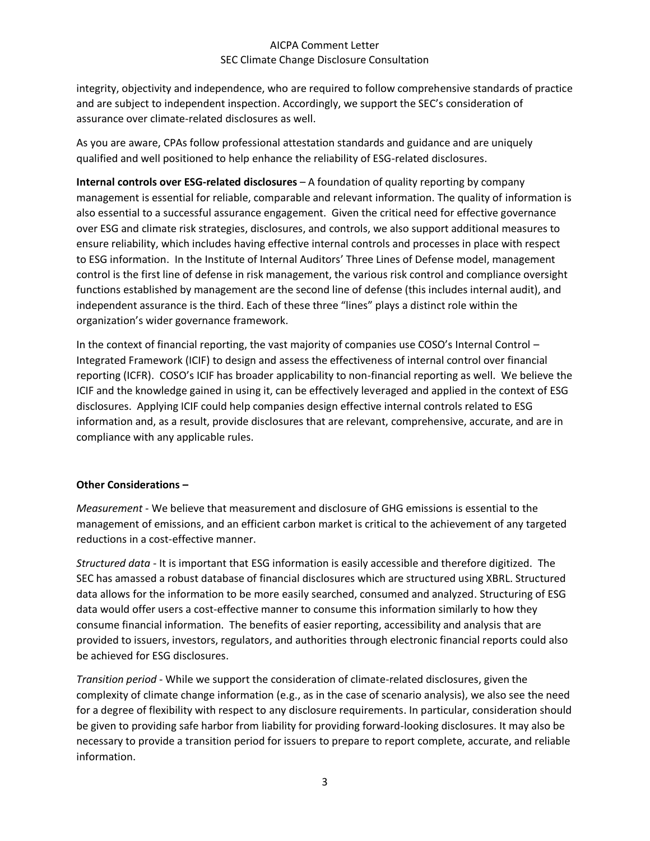### AICPA Comment Letter SEC Climate Change Disclosure Consultation

integrity, objectivity and independence, who are required to follow comprehensive standards of practice and are subject to independent inspection. Accordingly, we support the SEC's consideration of assurance over climate-related disclosures as well.

As you are aware, CPAs follow professional attestation standards and guidance and are uniquely qualified and well positioned to help enhance the reliability of ESG-related disclosures.

**Internal controls over ESG-related disclosures** – A foundation of quality reporting by company management is essential for reliable, comparable and relevant information. The quality of information is also essential to a successful assurance engagement. Given the critical need for effective governance over ESG and climate risk strategies, disclosures, and controls, we also support additional measures to ensure reliability, which includes having effective internal controls and processes in place with respect to ESG information. In the Institute of Internal Auditors' Three Lines of Defense model, management control is the first line of defense in risk management, the various risk control and compliance oversight functions established by management are the second line of defense (this includes internal audit), and independent assurance is the third. Each of these three "lines" plays a distinct role within the organization's wider governance framework.

In the context of financial reporting, the vast majority of companies use COSO's Internal Control – Integrated Framework (ICIF) to design and assess the effectiveness of internal control over financial reporting (ICFR). COSO's ICIF has broader applicability to non-financial reporting as well. We believe the ICIF and the knowledge gained in using it, can be effectively leveraged and applied in the context of ESG disclosures. Applying ICIF could help companies design effective internal controls related to ESG information and, as a result, provide disclosures that are relevant, comprehensive, accurate, and are in compliance with any applicable rules.

#### **Other Considerations –**

*Measurement -* We believe that measurement and disclosure of GHG emissions is essential to the management of emissions, and an efficient carbon market is critical to the achievement of any targeted reductions in a cost-effective manner.

*Structured data -* It is important that ESG information is easily accessible and therefore digitized. The SEC has amassed a robust database of financial disclosures which are structured using XBRL. Structured data allows for the information to be more easily searched, consumed and analyzed. Structuring of ESG data would offer users a cost-effective manner to consume this information similarly to how they consume financial information. The benefits of easier reporting, accessibility and analysis that are provided to issuers, investors, regulators, and authorities through electronic financial reports could also be achieved for ESG disclosures.

*Transition period -* While we support the consideration of climate-related disclosures, given the complexity of climate change information (e.g., as in the case of scenario analysis), we also see the need for a degree of flexibility with respect to any disclosure requirements. In particular, consideration should be given to providing safe harbor from liability for providing forward-looking disclosures. It may also be necessary to provide a transition period for issuers to prepare to report complete, accurate, and reliable information.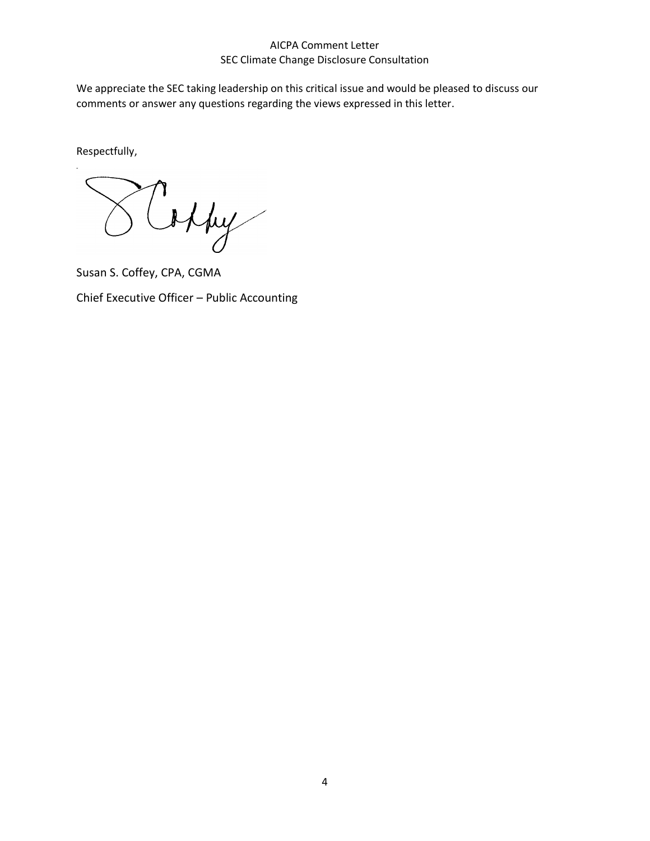### AICPA Comment Letter SEC Climate Change Disclosure Consultation

We appreciate the SEC taking leadership on this critical issue and would be pleased to discuss our comments or answer any questions regarding the views expressed in this letter.

Respectfully,

offry

Susan S. Coffey, CPA, CGMA

Chief Executive Officer – Public Accounting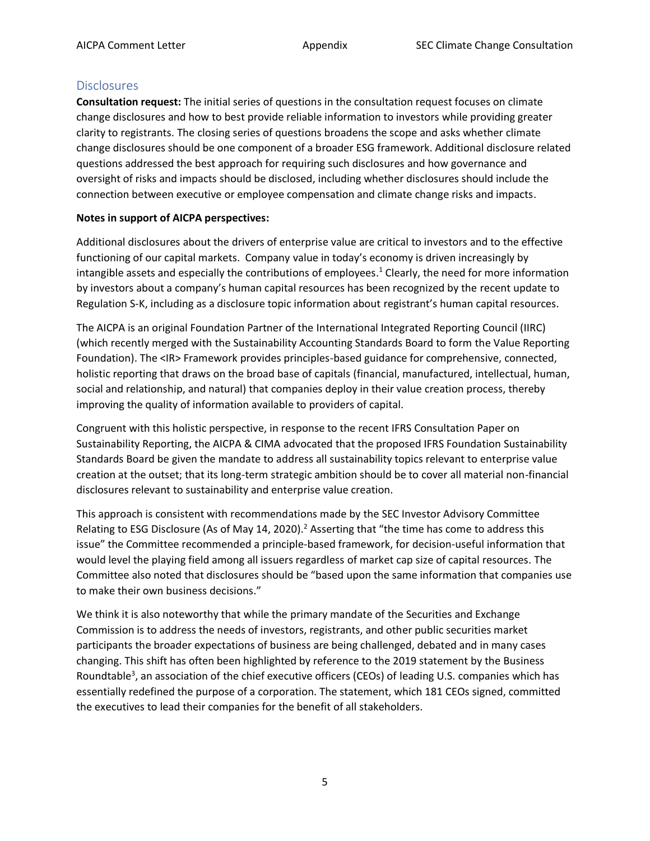### **Disclosures**

**Consultation request:** The initial series of questions in the consultation request focuses on climate change disclosures and how to best provide reliable information to investors while providing greater clarity to registrants. The closing series of questions broadens the scope and asks whether climate change disclosures should be one component of a broader ESG framework. Additional disclosure related questions addressed the best approach for requiring such disclosures and how governance and oversight of risks and impacts should be disclosed, including whether disclosures should include the connection between executive or employee compensation and climate change risks and impacts.

### **Notes in support of AICPA perspectives:**

Additional disclosures about the drivers of enterprise value are critical to investors and to the effective functioning of our capital markets. Company value in today's economy is driven increasingly by intangible assets and especially the contributions of employees. <sup>1</sup> Clearly, the need for more information by investors about a company's human capital resources has been recognized by the recent update to Regulation S-K, including as a disclosure topic information about registrant's human capital resources.

The AICPA is an original Foundation Partner of the International Integrated Reporting Council (IIRC) (which recently merged with the Sustainability Accounting Standards Board to form the Value Reporting Foundation). The <IR> Framework provides principles-based guidance for comprehensive, connected, holistic reporting that draws on the broad base of capitals (financial, manufactured, intellectual, human, social and relationship, and natural) that companies deploy in their value creation process, thereby improving the quality of information available to providers of capital.

Congruent with this holistic perspective, in response to the recent IFRS Consultation Paper on Sustainability Reporting, the AICPA & CIMA advocated that the proposed IFRS Foundation Sustainability Standards Board be given the mandate to address all sustainability topics relevant to enterprise value creation at the outset; that its long-term strategic ambition should be to cover all material non-financial disclosures relevant to sustainability and enterprise value creation.

This approach is consistent with recommendations made by the SEC Investor Advisory Committee Relating to ESG Disclosure (As of May 14, 2020).<sup>2</sup> Asserting that "the time has come to address this issue" the Committee recommended a principle-based framework, for decision-useful information that would level the playing field among all issuers regardless of market cap size of capital resources. The Committee also noted that disclosures should be "based upon the same information that companies use to make their own business decisions."

We think it is also noteworthy that while the primary mandate of the Securities and Exchange Commission is to address the needs of investors, registrants, and other public securities market participants the broader expectations of business are being challenged, debated and in many cases changing. This shift has often been highlighted by reference to the 2019 statement by the Business Roundtable<sup>3</sup>, an association of the chief executive officers (CEOs) of leading U.S. companies which has essentially redefined the purpose of a corporation. The statement, which 181 CEOs signed, committed the executives to lead their companies for the benefit of all stakeholders.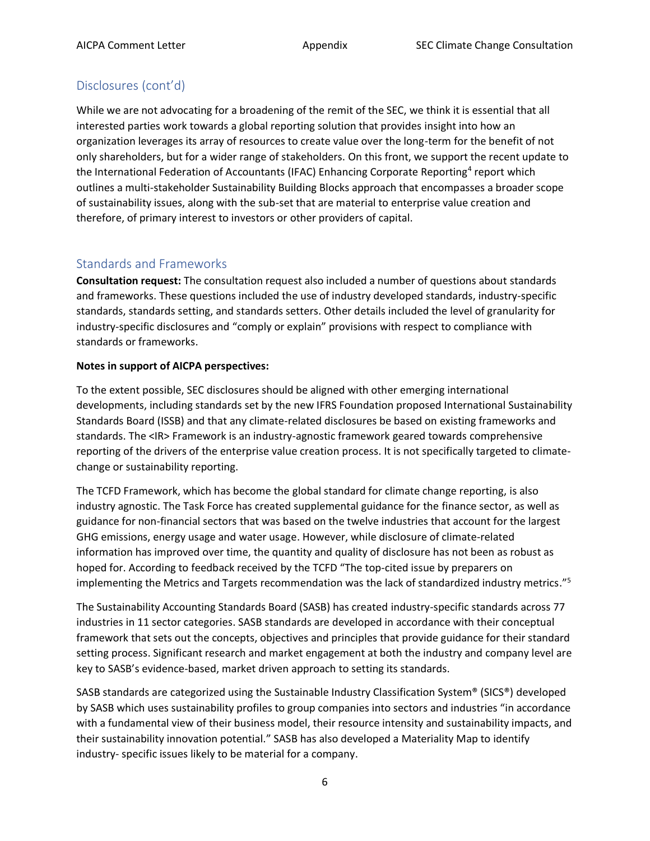# Disclosures (cont'd)

While we are not advocating for a broadening of the remit of the SEC, we think it is essential that all interested parties work towards a global reporting solution that provides insight into how an organization leverages its array of resources to create value over the long-term for the benefit of not only shareholders, but for a wider range of stakeholders. On this front, we support the recent update to the International Federation of Accountants (IFAC) Enhancing Corporate Reporting<sup>4</sup> report which outlines a multi-stakeholder Sustainability Building Blocks approach that encompasses a broader scope of sustainability issues, along with the sub-set that are material to enterprise value creation and therefore, of primary interest to investors or other providers of capital.

## Standards and Frameworks

**Consultation request:** The consultation request also included a number of questions about standards and frameworks. These questions included the use of industry developed standards, industry-specific standards, standards setting, and standards setters. Other details included the level of granularity for industry-specific disclosures and "comply or explain" provisions with respect to compliance with standards or frameworks.

### **Notes in support of AICPA perspectives:**

To the extent possible, SEC disclosures should be aligned with other emerging international developments, including standards set by the new IFRS Foundation proposed International Sustainability Standards Board (ISSB) and that any climate-related disclosures be based on existing frameworks and standards. The <IR> Framework is an industry-agnostic framework geared towards comprehensive reporting of the drivers of the enterprise value creation process. It is not specifically targeted to climatechange or sustainability reporting.

The TCFD Framework, which has become the global standard for climate change reporting, is also industry agnostic. The Task Force has created supplemental guidance for the finance sector, as well as guidance for non-financial sectors that was based on the twelve industries that account for the largest GHG emissions, energy usage and water usage. However, while disclosure of climate-related information has improved over time, the quantity and quality of disclosure has not been as robust as hoped for. According to feedback received by the TCFD "The top-cited issue by preparers on implementing the Metrics and Targets recommendation was the lack of standardized industry metrics." 5

The Sustainability Accounting Standards Board (SASB) has created industry-specific standards across 77 industries in 11 sector categories. SASB standards are developed in accordance with their conceptual framework that sets out the concepts, objectives and principles that provide guidance for their standard setting process. Significant research and market engagement at both the industry and company level are key to SASB's evidence-based, market driven approach to setting its standards.

SASB standards are categorized using the Sustainable Industry Classification System® (SICS®) developed by SASB which uses sustainability profiles to group companies into sectors and industries "in accordance with a fundamental view of their business model, their resource intensity and sustainability impacts, and their sustainability innovation potential." SASB has also developed a Materiality Map to identify industry- specific issues likely to be material for a company.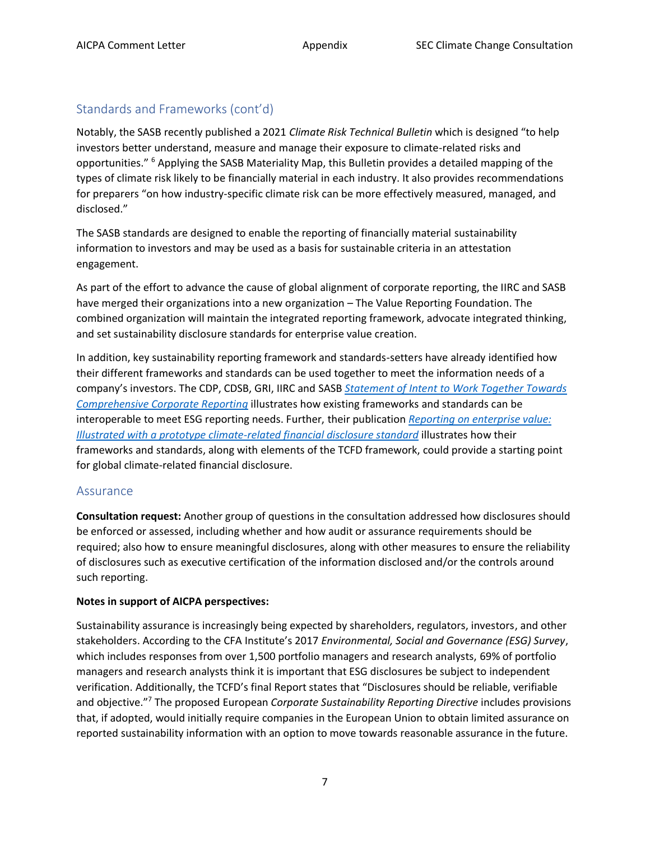# Standards and Frameworks (cont'd)

Notably, the SASB recently published a 2021 *Climate Risk Technical Bulletin* which is designed "to help investors better understand, measure and manage their exposure to climate-related risks and opportunities." <sup>6</sup> Applying the SASB Materiality Map, this Bulletin provides a detailed mapping of the types of climate risk likely to be financially material in each industry. It also provides recommendations for preparers "on how industry-specific climate risk can be more effectively measured, managed, and disclosed."

The SASB standards are designed to enable the reporting of financially material sustainability information to investors and may be used as a basis for sustainable criteria in an attestation engagement.

As part of the effort to advance the cause of global alignment of corporate reporting, the IIRC and SASB have merged their organizations into a new organization – The Value Reporting Foundation. The combined organization will maintain the integrated reporting framework, advocate integrated thinking, and set sustainability disclosure standards for enterprise value creation.

In addition, key sustainability reporting framework and standards-setters have already identified how their different frameworks and standards can be used together to meet the information needs of a company's investors. The CDP, CDSB, GRI, IIRC and SASB *[Statement of Intent to Work Together Towards](https://29kjwb3armds2g3gi4lq2sx1-wpengine.netdna-ssl.com/wp-content/uploads/Statement-of-Intent-to-Work-Together-Towards-Comprehensive-Corporate-Reporting.pdf)  [Comprehensive Corporate Reporting](https://29kjwb3armds2g3gi4lq2sx1-wpengine.netdna-ssl.com/wp-content/uploads/Statement-of-Intent-to-Work-Together-Towards-Comprehensive-Corporate-Reporting.pdf)* illustrates how existing frameworks and standards can be interoperable to meet ESG reporting needs. Further, their publication *[Reporting on enterprise value:](https://29kjwb3armds2g3gi4lq2sx1-wpengine.netdna-ssl.com/wp-content/uploads/Reporting-on-enterprise-value_climate-prototype_Dec20.pdf)  [Illustrated with a prototype climate-related financial disclosure standard](https://29kjwb3armds2g3gi4lq2sx1-wpengine.netdna-ssl.com/wp-content/uploads/Reporting-on-enterprise-value_climate-prototype_Dec20.pdf)* illustrates how their frameworks and standards, along with elements of the TCFD framework, could provide a starting point for global climate-related financial disclosure.

### Assurance

**Consultation request:** Another group of questions in the consultation addressed how disclosures should be enforced or assessed, including whether and how audit or assurance requirements should be required; also how to ensure meaningful disclosures, along with other measures to ensure the reliability of disclosures such as executive certification of the information disclosed and/or the controls around such reporting.

#### **Notes in support of AICPA perspectives:**

Sustainability assurance is increasingly being expected by shareholders, regulators, investors, and other stakeholders. According to the CFA Institute's 2017 *Environmental, Social and Governance (ESG) Survey*, which includes responses from over 1,500 portfolio managers and research analysts, 69% of portfolio managers and research analysts think it is important that ESG disclosures be subject to independent verification. Additionally, the TCFD's final Report states that "Disclosures should be reliable, verifiable and objective."<sup>7</sup> The proposed European *Corporate Sustainability Reporting Directive* includes provisions that, if adopted, would initially require companies in the European Union to obtain limited assurance on reported sustainability information with an option to move towards reasonable assurance in the future.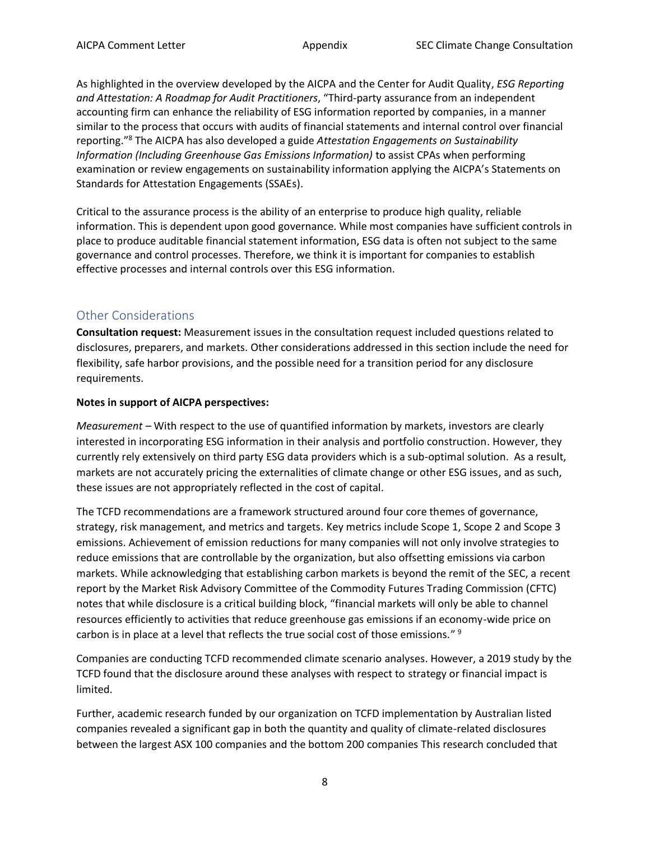As highlighted in the overview developed by the AICPA and the Center for Audit Quality, *ESG Reporting and Attestation: A Roadmap for Audit Practitioners*, "Third-party assurance from an independent accounting firm can enhance the reliability of ESG information reported by companies, in a manner similar to the process that occurs with audits of financial statements and internal control over financial reporting." <sup>8</sup> The AICPA has also developed a guide *Attestation Engagements on Sustainability Information (Including Greenhouse Gas Emissions Information)* to assist CPAs when performing examination or review engagements on sustainability information applying the AICPA's Statements on Standards for Attestation Engagements (SSAEs).

Critical to the assurance process is the ability of an enterprise to produce high quality, reliable information. This is dependent upon good governance. While most companies have sufficient controls in place to produce auditable financial statement information, ESG data is often not subject to the same governance and control processes. Therefore, we think it is important for companies to establish effective processes and internal controls over this ESG information.

## Other Considerations

**Consultation request:** Measurement issues in the consultation request included questions related to disclosures, preparers, and markets. Other considerations addressed in this section include the need for flexibility, safe harbor provisions, and the possible need for a transition period for any disclosure requirements.

### **Notes in support of AICPA perspectives:**

*Measurement* – With respect to the use of quantified information by markets, investors are clearly interested in incorporating ESG information in their analysis and portfolio construction. However, they currently rely extensively on third party ESG data providers which is a sub-optimal solution. As a result, markets are not accurately pricing the externalities of climate change or other ESG issues, and as such, these issues are not appropriately reflected in the cost of capital.

The TCFD recommendations are a framework structured around four core themes of governance, strategy, risk management, and metrics and targets. Key metrics include Scope 1, Scope 2 and Scope 3 emissions. Achievement of emission reductions for many companies will not only involve strategies to reduce emissions that are controllable by the organization, but also offsetting emissions via carbon markets. While acknowledging that establishing carbon markets is beyond the remit of the SEC, a recent report by the Market Risk Advisory Committee of the Commodity Futures Trading Commission (CFTC) notes that while disclosure is a critical building block, "financial markets will only be able to channel resources efficiently to activities that reduce greenhouse gas emissions if an economy-wide price on carbon is in place at a level that reflects the true social cost of those emissions." <sup>9</sup>

Companies are conducting TCFD recommended climate scenario analyses. However, a 2019 study by the TCFD found that the disclosure around these analyses with respect to strategy or financial impact is limited.

Further, academic research funded by our organization on TCFD implementation by Australian listed companies revealed a significant gap in both the quantity and quality of climate-related disclosures between the largest ASX 100 companies and the bottom 200 companies This research concluded that